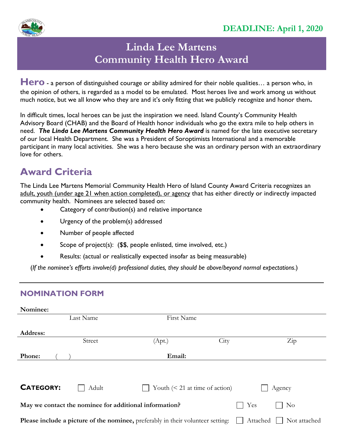

## **Linda Lee Martens Community Health Hero Award**

Hero - a person of distinguished courage or ability admired for their noble qualities... a person who, in the opinion of others, is regarded as a model to be emulated. Most heroes live and work among us without much notice, but we all know who they are and it's only fitting that we publicly recognize and honor them**.** 

In difficult times, local heroes can be just the inspiration we need. Island County's Community Health Advisory Board (CHAB) and the Board of Health honor individuals who go the extra mile to help others in need. *The Linda Lee Martens Community Health Hero Award* is named for the late executive secretary of our local Health Department. She was a President of Soroptimists International and a memorable participant in many local activities. She was a hero because she was an ordinary person with an extraordinary love for others.

## **Award Criteria**

The Linda Lee Martens Memorial Community Health Hero of Island County Award Criteria recognizes an adult, youth (under age 21 when action completed), or agency that has either directly or indirectly impacted community health. Nominees are selected based on:

- Category of contribution(s) and relative importance
- Urgency of the problem(s) addressed
- Number of people affected
- Scope of project(s): (\$\$, people enlisted, time involved, etc.)
- Results: (actual or realistically expected insofar as being measurable)

(*If the nominee's efforts involve(d) professional duties, they should be above/beyond normal expectations*.)

## **NOMINATION FORM**

| Nominee:                                                                                                    |           |                                  |      |                  |  |  |
|-------------------------------------------------------------------------------------------------------------|-----------|----------------------------------|------|------------------|--|--|
|                                                                                                             | Last Name | First Name                       |      |                  |  |  |
| Address:                                                                                                    |           |                                  |      |                  |  |  |
|                                                                                                             | Street    | (Apt.)                           | City | $\overline{Zip}$ |  |  |
| Phone:                                                                                                      |           | Email:                           |      |                  |  |  |
|                                                                                                             |           |                                  |      |                  |  |  |
|                                                                                                             |           |                                  |      |                  |  |  |
| <b>CATEGORY:</b>                                                                                            | Adult     | Youth $(< 21$ at time of action) |      | Agency           |  |  |
| Yes<br>May we contact the nominee for additional information?<br>$\rm No$                                   |           |                                  |      |                  |  |  |
| Please include a picture of the nominee, preferably in their volunteer setting:<br>Attached<br>Not attached |           |                                  |      |                  |  |  |